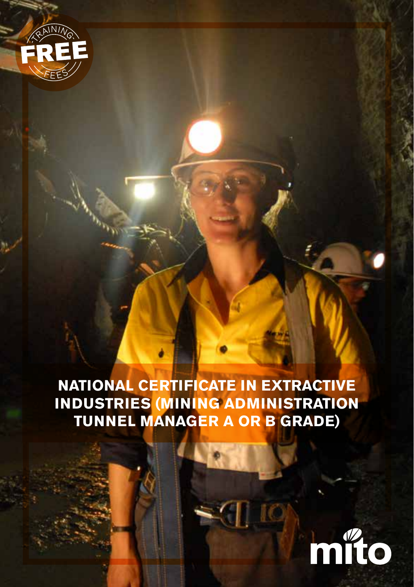

**NATIONAL CERTIFICATE IN EXTRACTIVE INDUSTRIES (MINING ADMINISTRATION TUNNEL MANAGER A OR B GRADE)**

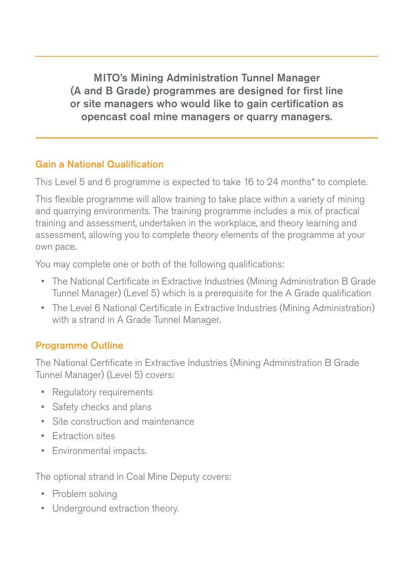MITO's Mining Administration Tunnel Manager (A and B Grade) programmes are designed for first line or site managers who would like to gain certification as opencast coal mine managers or quarry managers.

### Gain a National Qualification

This Level 5 and 6 programme is expected to take 16 to 24 months\* to complete.

This flexible programme will allow training to take place within a variety of mining and quarrying environments. The training programme includes a mix of practical training and assessment, undertaken in the workplace, and theory learning and assessment, allowing you to complete theory elements of the programme at your own pace.

You may complete one or both of the following qualifications:

- The National Certificate in Extractive Industries (Mining Administration B Grade Tunnel Manager) (Level 5) which is a prerequisite for the A Grade qualification
- The Level 6 National Certificate in Extractive Industries (Mining Administration) with a strand in A Grade Tunnel Manager.

## Programme Outline

The National Certificate in Extractive Industries (Mining Administration B Grade Tunnel Manager) (Level 5) covers:

- Regulatory requirements
- Safety checks and plans
- Site construction and maintenance
- Extraction sites
- Environmental impacts.

The optional strand in Coal Mine Deputy covers:

- Problem solving
- Underground extraction theory.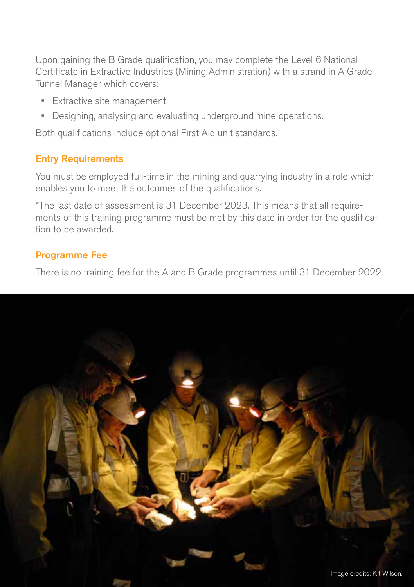Upon gaining the B Grade qualification, you may complete the Level 6 National Certificate in Extractive Industries (Mining Administration) with a strand in A Grade Tunnel Manager which covers:

- Extractive site management
- Designing, analysing and evaluating underground mine operations.

Both qualifications include optional First Aid unit standards.

#### Entry Requirements

You must be employed full-time in the mining and quarrying industry in a role which enables you to meet the outcomes of the qualifications.

\*The last date of assessment is 31 December 2023. This means that all requirements of this training programme must be met by this date in order for the qualification to be awarded.

#### Programme Fee

There is no training fee for the A and B Grade programmes until 31 December 2022.